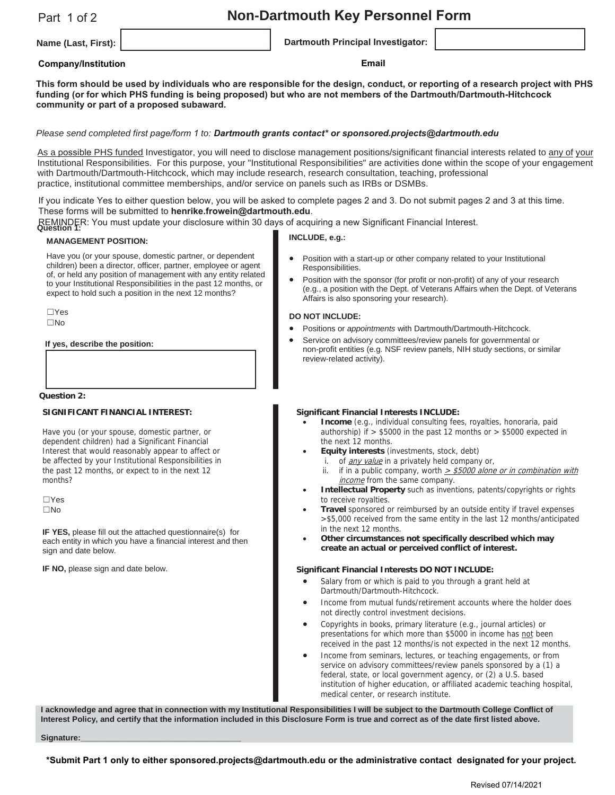# Part 1 of 2

# **Non-Dartmouth Key Personnel Form**

**Name (Last, First): Dartmouth Principal Investigator:**

# **Company/Institution Email**

**This form should be used by individuals who are responsible for the design, conduct, or reporting of a research project with PHS funding (or for which PHS funding is being proposed) but who are not members of the Dartmouth/Dartmouth-Hitchcock community or part of a proposed subaward.**

# *Please send completed first page/form 1 to: Dartmouth grants contact\* or sponsored.projects@dartmouth.edu*

As a possible PHS funded Investigator, you will need to disclose management positions/significant financial interests related to any of your Institutional Responsibilities. For this purpose, your "Institutional Responsibilities" are activities done within the scope of your engagement with Dartmouth/Dartmouth-Hitchcock, which may include research, research consultation, teaching, professional practice, institutional committee memberships, and/or service on panels such as IRBs or DSMBs.

If you indicate Yes to either question below, you will be asked to complete pages 2 and 3. Do not submit pages 2 and 3 at this time. These forms will be submitted to **henrike.frowein@dartmouth.edu**.

REMINDER: You must update your disclosure within 30 days of acquiring a new Significant Financial Interest. **Question 1:**

#### **MANAGEMENT POSITION:**

Have you (or your spouse, domestic partner, or dependent children) been a director, officer, partner, employee or agent of, or held any position of management with any entity related to your Institutional Responsibilities in the past 12 months, or expect to hold such a position in the next 12 months?

 $\Box$ Yes  $\Box$ No

#### **If yes, describe the position:**

**Question 2:**

#### **SIGNIFICANT FINANCIAL INTEREST:**

Have you (or your spouse, domestic partner, or dependent children) had a Significant Financial Interest that would reasonably appear to affect or be affected by your Institutional Responsibilities in the past 12 months, or expect to in the next 12 months?

 $\Box$ Yes  $\Box$ No

**IF YES,** please fill out the attached questionnaire(s) for each entity in which you have a financial interest and then sign and date below.

**IF NO, please sign and date below.** 

### **INCLUDE, e.g.:**

- Position with a start-up or other company related to your Institutional Responsibilities.
- Position with the sponsor (for profit or non-profit) of any of your research (e.g., a position with the Dept. of Veterans Affairs when the Dept. of Veterans Affairs is also sponsoring your research).

#### **DO NOT INCLUDE:**

- x Positions or *appointments* with Dartmouth/Dartmouth-Hitchcock.
- Service on advisory committees/review panels for governmental or non-profit entities (e.g. NSF review panels, NIH study sections, or similar review-related activity).

#### **Significant Financial Interests INCLUDE:**

- **Income** (e.g., individual consulting fees, royalties, honoraria, paid authorship) if > \$5000 in the past 12 months or > \$5000 expected in the next 12 months.
- **Equity interests** (investments, stock, debt)
	- i. of *any value* in a privately held company or,
		- if in a public company, worth  $\geq$  \$5000 alone or in combination with income from the same company.
- x **Intellectual Property** such as inventions, patents/copyrights or rights to receive royalties.
- **Travel** sponsored or reimbursed by an outside entity if travel expenses >\$5,000 received from the same entity in the last 12 months/anticipated in the next 12 months.
- Other circumstances not specifically described which may **create an actual or perceived conflict of interest.**

#### **Significant Financial Interests DO NOT INCLUDE:**

- Salary from or which is paid to you through a grant held at Dartmouth/Dartmouth-Hitchcock.
- Income from mutual funds/retirement accounts where the holder does not directly control investment decisions.
- Copyrights in books, primary literature (e.g., journal articles) or presentations for which more than \$5000 in income has not been received in the past 12 months/is not expected in the next 12 months.
- Income from seminars, lectures, or teaching engagements, or from service on advisory committees/review panels sponsored by a (1) a federal, state, or local government agency, or (2) a U.S. based institution of higher education, or affiliated academic teaching hospital, medical center, or research institute.

**I acknowledge and agree that in connection with my Institutional Responsibilities I will be subject to the Dartmouth College Conflict of Interest Policy, and certify that the information included in this Disclosure Form is true and correct as of the date first listed above.**

Signature:

**\*Submit Part 1 only to either sponsored.projects@dartmouth.edu or the administrative contact designated for your project.**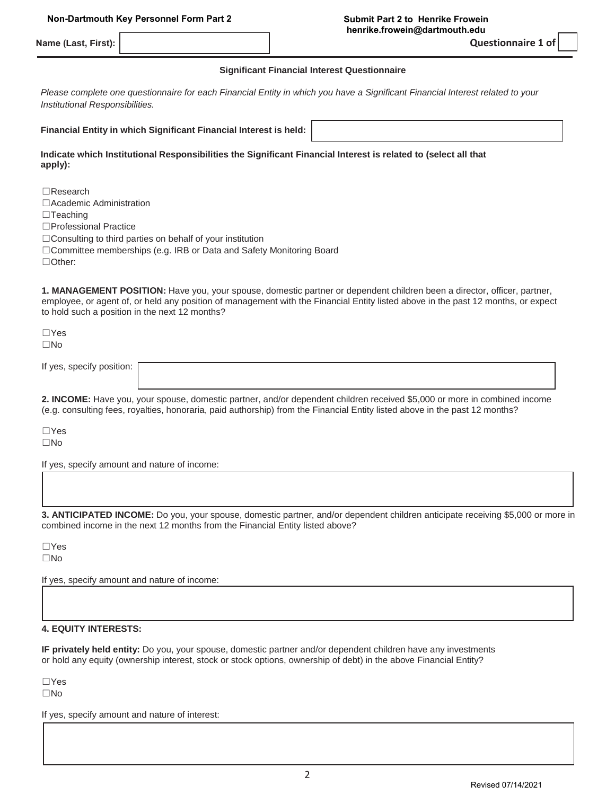**Name (Last, First):** 

**Questionnaire 1 of** 

#### **Significant Financial Interest Questionnaire**

*Please complete one questionnaire for each Financial Entity in which you have a Significant Financial Interest related to your Institutional Responsibilities.*

**Financial Entity in which Significant Financial Interest is held:**

**Indicate which Institutional Responsibilities the Significant Financial Interest is related to (select all that apply):**

 $\Box$ Research

□Academic Administration

 $\Box$ Teaching

□Professional Practice

□Consulting to third parties on behalf of your institution

□Committee memberships (e.g. IRB or Data and Safety Monitoring Board

□Other:

**1. MANAGEMENT POSITION:** Have you, your spouse, domestic partner or dependent children been a director, officer, partner, employee, or agent of, or held any position of management with the Financial Entity listed above in the past 12 months, or expect to hold such a position in the next 12 months?

 $\Box$ Yes  $\square$ No

If yes, specify position:

**2. INCOME:** Have you, your spouse, domestic partner, and/or dependent children received \$5,000 or more in combined income (e.g. consulting fees, royalties, honoraria, paid authorship) from the Financial Entity listed above in the past 12 months?

 $\Box$ Yes  $\square$ No

If yes, specify amount and nature of income:

**3. ANTICIPATED INCOME:** Do you, your spouse, domestic partner, and/or dependent children anticipate receiving \$5,000 or more in combined income in the next 12 months from the Financial Entity listed above?

 $\Box$ Yes  $\square$ No

If yes, specify amount and nature of income:

# **4. EQUITY INTERESTS:**

**IF privately held entity:** Do you, your spouse, domestic partner and/or dependent children have any investments or hold any equity (ownership interest, stock or stock options, ownership of debt) in the above Financial Entity?

 $\Box$ Yes

 $\square$ No

If yes, specify amount and nature of interest: